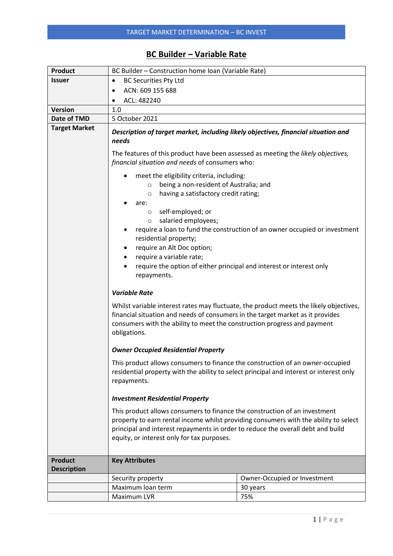## **BC Builder – Variable Rate**

| <b>Product</b>       | BC Builder - Construction home loan (Variable Rate)                                                                                                                                                                                                                                                 |                                                                            |
|----------------------|-----------------------------------------------------------------------------------------------------------------------------------------------------------------------------------------------------------------------------------------------------------------------------------------------------|----------------------------------------------------------------------------|
| <b>Issuer</b>        | <b>BC Securities Pty Ltd</b><br>$\bullet$                                                                                                                                                                                                                                                           |                                                                            |
|                      | ACN: 609 155 688<br>$\bullet$                                                                                                                                                                                                                                                                       |                                                                            |
|                      | ACL: 482240                                                                                                                                                                                                                                                                                         |                                                                            |
| <b>Version</b>       | 1.0                                                                                                                                                                                                                                                                                                 |                                                                            |
| Date of TMD          | 5 October 2021                                                                                                                                                                                                                                                                                      |                                                                            |
| <b>Target Market</b> | Description of target market, including likely objectives, financial situation and<br>needs<br>The features of this product have been assessed as meeting the likely objectives,                                                                                                                    |                                                                            |
|                      | financial situation and needs of consumers who:                                                                                                                                                                                                                                                     |                                                                            |
|                      | meet the eligibility criteria, including:<br>being a non-resident of Australia; and<br>$\circ$<br>having a satisfactory credit rating;<br>$\circ$<br>are:<br>self-employed; or<br>$\circ$                                                                                                           |                                                                            |
|                      | salaried employees;<br>$\circ$<br>٠<br>residential property;                                                                                                                                                                                                                                        | require a loan to fund the construction of an owner occupied or investment |
|                      | require an Alt Doc option;<br>٠                                                                                                                                                                                                                                                                     |                                                                            |
|                      | require a variable rate;                                                                                                                                                                                                                                                                            |                                                                            |
|                      | require the option of either principal and interest or interest only<br>repayments.                                                                                                                                                                                                                 |                                                                            |
|                      | <b>Variable Rate</b>                                                                                                                                                                                                                                                                                |                                                                            |
|                      | Whilst variable interest rates may fluctuate, the product meets the likely objectives,<br>financial situation and needs of consumers in the target market as it provides<br>consumers with the ability to meet the construction progress and payment<br>obligations.                                |                                                                            |
|                      | <b>Owner Occupied Residential Property</b>                                                                                                                                                                                                                                                          |                                                                            |
|                      | This product allows consumers to finance the construction of an owner-occupied<br>residential property with the ability to select principal and interest or interest only<br>repayments.                                                                                                            |                                                                            |
|                      | <b>Investment Residential Property</b>                                                                                                                                                                                                                                                              |                                                                            |
|                      | This product allows consumers to finance the construction of an investment<br>property to earn rental income whilst providing consumers with the ability to select<br>principal and interest repayments in order to reduce the overall debt and build<br>equity, or interest only for tax purposes. |                                                                            |
| <b>Product</b>       | <b>Key Attributes</b>                                                                                                                                                                                                                                                                               |                                                                            |
| <b>Description</b>   |                                                                                                                                                                                                                                                                                                     |                                                                            |
|                      | Security property                                                                                                                                                                                                                                                                                   | Owner-Occupied or Investment                                               |
|                      | Maximum loan term                                                                                                                                                                                                                                                                                   | 30 years                                                                   |
|                      | Maximum LVR                                                                                                                                                                                                                                                                                         | 75%                                                                        |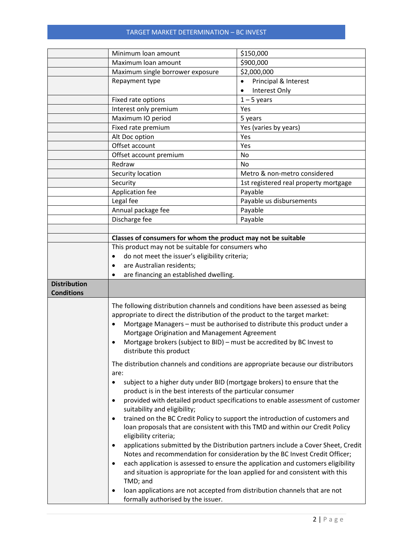## TARGET MARKET DETERMINATION – BC INVEST

|                                          | Minimum loan amount                                                                                                                                                                                                                                                                                                                           | \$150,000                                                                                                                                                          |
|------------------------------------------|-----------------------------------------------------------------------------------------------------------------------------------------------------------------------------------------------------------------------------------------------------------------------------------------------------------------------------------------------|--------------------------------------------------------------------------------------------------------------------------------------------------------------------|
|                                          | Maximum loan amount                                                                                                                                                                                                                                                                                                                           | \$900,000                                                                                                                                                          |
|                                          | Maximum single borrower exposure                                                                                                                                                                                                                                                                                                              | \$2,000,000                                                                                                                                                        |
|                                          | Repayment type                                                                                                                                                                                                                                                                                                                                | Principal & Interest<br>$\bullet$                                                                                                                                  |
|                                          |                                                                                                                                                                                                                                                                                                                                               | Interest Only                                                                                                                                                      |
|                                          | Fixed rate options                                                                                                                                                                                                                                                                                                                            | $1 - 5$ years                                                                                                                                                      |
|                                          | Interest only premium                                                                                                                                                                                                                                                                                                                         | Yes                                                                                                                                                                |
|                                          | Maximum IO period                                                                                                                                                                                                                                                                                                                             | 5 years                                                                                                                                                            |
|                                          | Fixed rate premium                                                                                                                                                                                                                                                                                                                            | Yes (varies by years)                                                                                                                                              |
|                                          | Alt Doc option                                                                                                                                                                                                                                                                                                                                | Yes                                                                                                                                                                |
|                                          | Offset account                                                                                                                                                                                                                                                                                                                                | Yes                                                                                                                                                                |
|                                          | Offset account premium                                                                                                                                                                                                                                                                                                                        | No                                                                                                                                                                 |
|                                          | Redraw                                                                                                                                                                                                                                                                                                                                        | No                                                                                                                                                                 |
|                                          | Security location                                                                                                                                                                                                                                                                                                                             | Metro & non-metro considered                                                                                                                                       |
|                                          | Security                                                                                                                                                                                                                                                                                                                                      | 1st registered real property mortgage                                                                                                                              |
|                                          | Application fee                                                                                                                                                                                                                                                                                                                               | Payable                                                                                                                                                            |
|                                          | Legal fee                                                                                                                                                                                                                                                                                                                                     | Payable us disbursements                                                                                                                                           |
|                                          | Annual package fee                                                                                                                                                                                                                                                                                                                            | Payable                                                                                                                                                            |
|                                          | Discharge fee                                                                                                                                                                                                                                                                                                                                 | Payable                                                                                                                                                            |
|                                          |                                                                                                                                                                                                                                                                                                                                               |                                                                                                                                                                    |
|                                          | Classes of consumers for whom the product may not be suitable                                                                                                                                                                                                                                                                                 |                                                                                                                                                                    |
|                                          | This product may not be suitable for consumers who                                                                                                                                                                                                                                                                                            |                                                                                                                                                                    |
|                                          | do not meet the issuer's eligibility criteria;<br>$\bullet$                                                                                                                                                                                                                                                                                   |                                                                                                                                                                    |
|                                          | are Australian residents;<br>$\bullet$                                                                                                                                                                                                                                                                                                        |                                                                                                                                                                    |
|                                          |                                                                                                                                                                                                                                                                                                                                               |                                                                                                                                                                    |
|                                          | are financing an established dwelling.<br>٠                                                                                                                                                                                                                                                                                                   |                                                                                                                                                                    |
| <b>Distribution</b><br><b>Conditions</b> |                                                                                                                                                                                                                                                                                                                                               |                                                                                                                                                                    |
|                                          | The following distribution channels and conditions have been assessed as being<br>appropriate to direct the distribution of the product to the target market:<br>$\bullet$<br>Mortgage Origination and Management Agreement<br>Mortgage brokers (subject to BID) - must be accredited by BC Invest to<br>$\bullet$<br>distribute this product | Mortgage Managers - must be authorised to distribute this product under a                                                                                          |
|                                          | The distribution channels and conditions are appropriate because our distributors<br>are:                                                                                                                                                                                                                                                     |                                                                                                                                                                    |
|                                          | subject to a higher duty under BID (mortgage brokers) to ensure that the<br>$\bullet$<br>product is in the best interests of the particular consumer<br>$\bullet$<br>suitability and eligibility;                                                                                                                                             | provided with detailed product specifications to enable assessment of customer                                                                                     |
|                                          | $\bullet$<br>eligibility criteria;                                                                                                                                                                                                                                                                                                            | trained on the BC Credit Policy to support the introduction of customers and<br>loan proposals that are consistent with this TMD and within our Credit Policy      |
|                                          | $\bullet$<br>$\bullet$                                                                                                                                                                                                                                                                                                                        | applications submitted by the Distribution partners include a Cover Sheet, Credit<br>Notes and recommendation for consideration by the BC Invest Credit Officer;   |
|                                          | TMD; and<br>loan applications are not accepted from distribution channels that are not                                                                                                                                                                                                                                                        | each application is assessed to ensure the application and customers eligibility<br>and situation is appropriate for the loan applied for and consistent with this |